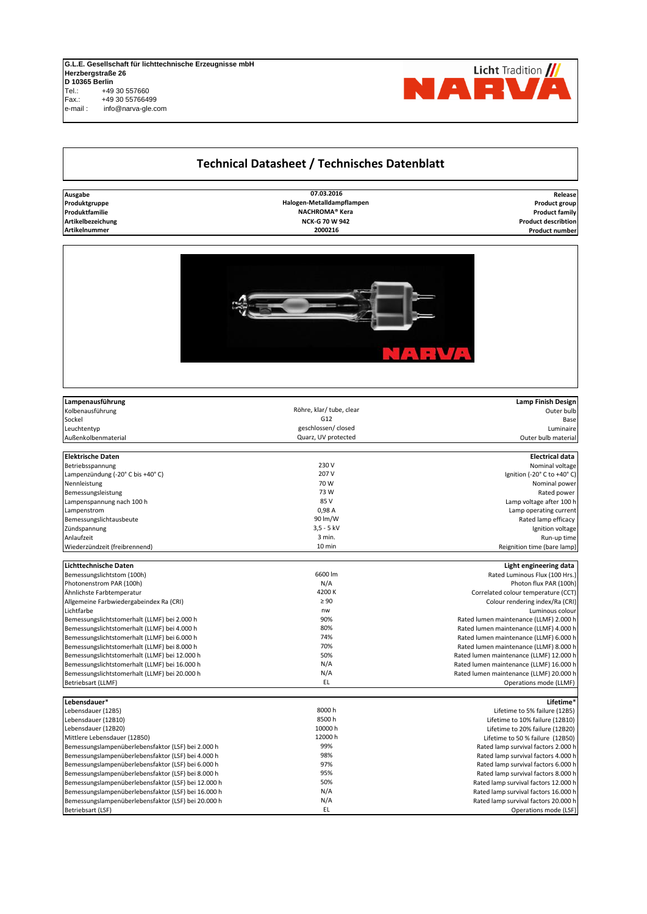## **G.L.E. Gesellschaft für lichttechnische Erzeugnisse mbH Herzbergstraße 26 D 10365 Berlin** Tel.: +49 30 557660 Fax.: +49 30 55766499

e-mail : info@narva-gle.com

## **Technical Datasheet / Technisches Datenblatt**

| Ausgabe              |
|----------------------|
| Produktgruppe        |
| Produktfamilie       |
| Artikelbezeichung    |
| <b>Artikelnummer</b> |

**Produktgruppe** FH 12 12 **Product group Halogen-Metalldampflampen Produktfamilie** FH 10 **10 Product family** Artikelnummer **1 <b>Article** Product number 1 **5000 Product numbers** 2000216 **2000216 NCK-G 70 W 942 07.03.2016 NACHROMA® Kera** 





| Lampenausführung                                    |                          | <b>Lamp Finish Design</b>               |
|-----------------------------------------------------|--------------------------|-----------------------------------------|
| Kolbenausführung                                    | Röhre, klar/ tube, clear | Outer bulb                              |
| Sockel                                              | G12                      | Base                                    |
| Leuchtentyp                                         | geschlossen/closed       | Luminaire                               |
| Außenkolbenmaterial                                 | Quarz, UV protected      | Outer bulb material                     |
| <b>Elektrische Daten</b>                            |                          | <b>Electrical data</b>                  |
| Betriebsspannung                                    | 230 V                    | Nominal voltage                         |
|                                                     | 207 V                    | Ignition (-20° C to +40° C)             |
| Lampenzündung (-20° C bis +40° C)<br>Nennleistung   | 70 W                     | Nominal power                           |
|                                                     | 73 W                     | Rated power                             |
| Bemessungsleistung                                  | 85 V                     | Lamp voltage after 100 h                |
| Lampenspannung nach 100 h                           | 0,98 A                   | Lamp operating current                  |
| Lampenstrom                                         | 90 lm/W                  |                                         |
| Bemessungslichtausbeute<br>Zündspannung             | $3,5 - 5$ kV             | Rated lamp efficacy                     |
| Anlaufzeit                                          | 3 min.                   | Ignition voltage                        |
|                                                     |                          | Run-up time                             |
| Wiederzündzeit (freibrennend)                       | 10 min                   | Reignition time (bare lamp)             |
| Lichttechnische Daten                               |                          | Light engineering data                  |
| Bemessungslichtstom (100h)                          | 6600 lm                  | Rated Luminous Flux (100 Hrs.)          |
| Photonenstrom PAR (100h)                            | N/A                      | Photon flux PAR (100h)                  |
| Ähnlichste Farbtemperatur                           | 4200K                    | Correlated colour temperature (CCT)     |
| Allgemeine Farbwiedergabeindex Ra (CRI)             | $\geq 90$                | Colour rendering index/Ra (CRI)         |
| Lichtfarbe                                          | nw                       | Luminous colour                         |
| Bemessungslichtstomerhalt (LLMF) bei 2.000 h        | 90%                      | Rated lumen maintenance (LLMF) 2.000 h  |
| Bemessungslichtstomerhalt (LLMF) bei 4.000 h        | 80%                      | Rated lumen maintenance (LLMF) 4.000 h  |
| Bemessungslichtstomerhalt (LLMF) bei 6.000 h        | 74%                      | Rated lumen maintenance (LLMF) 6.000 h  |
| Bemessungslichtstomerhalt (LLMF) bei 8.000 h        | 70%                      | Rated lumen maintenance (LLMF) 8.000 h  |
| Bemessungslichtstomerhalt (LLMF) bei 12.000 h       | 50%                      | Rated lumen maintenance (LLMF) 12.000 h |
| Bemessungslichtstomerhalt (LLMF) bei 16.000 h       | N/A                      | Rated lumen maintenance (LLMF) 16.000 h |
| Bemessungslichtstomerhalt (LLMF) bei 20.000 h       | N/A                      | Rated lumen maintenance (LLMF) 20.000 h |
| Betriebsart (LLMF)                                  | EL                       | Operations mode (LLMF)                  |
|                                                     |                          |                                         |
| Lebensdauer*                                        |                          | Lifetime*                               |
| Lebensdauer (12B5)                                  | 8000h                    | Lifetime to 5% failure (12B5)           |
| Lebensdauer (12B10)                                 | 8500h                    | Lifetime to 10% failure (12B10)         |
| Lebensdauer (12B20)                                 | 10000 h                  | Lifetime to 20% failure (12B20)         |
| Mittlere Lebensdauer (12B50)                        | 12000 h                  | Lifetime to 50 % failure (12B50)        |
| Bemessungslampenüberlebensfaktor (LSF) bei 2.000 h  | 99%                      | Rated lamp survival factors 2.000 h     |
| Bemessungslampenüberlebensfaktor (LSF) bei 4.000 h  | 98%                      | Rated lamp survival factors 4.000 h     |
| Bemessungslampenüberlebensfaktor (LSF) bei 6.000 h  | 97%                      | Rated lamp survival factors 6.000 h     |
| Bemessungslampenüberlebensfaktor (LSF) bei 8.000 h  | 95%                      | Rated lamp survival factors 8.000 h     |
| Bemessungslampenüberlebensfaktor (LSF) bei 12.000 h | 50%                      | Rated lamp survival factors 12.000 h    |
| Bemessungslampenüberlebensfaktor (LSF) bei 16.000 h | N/A                      | Rated lamp survival factors 16.000 h    |
| Bemessungslampenüberlebensfaktor (LSF) bei 20.000 h | N/A                      | Rated lamp survival factors 20.000 h    |
| Betriebsart (LSF)                                   | EL                       | Operations mode (LSF)                   |